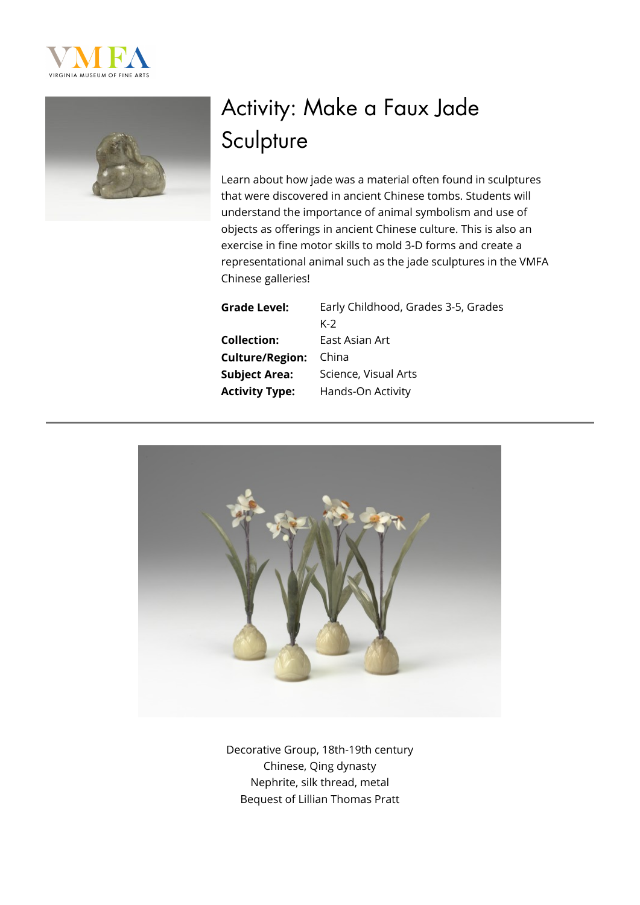



# Activity: Make a Faux Jade **Sculpture**

Learn about how jade was a material often found in sculptures that were discovered in ancient Chinese tombs. Students will understand the importance of animal symbolism and use of objects as offerings in ancient Chinese culture. This is also an exercise in fine motor skills to mold 3-D forms and create a representational animal such as the jade sculptures in the VMFA Chinese galleries!

# **Collection:** East Asian Art **Culture/Region:** China

**Grade Level:** Early Childhood, Grades 3-5, Grades K-2 **Subject Area:** Science, Visual Arts **Activity Type:** Hands-On Activity



Decorative Group, 18th-19th century Chinese, Qing dynasty Nephrite, silk thread, metal Bequest of Lillian Thomas Pratt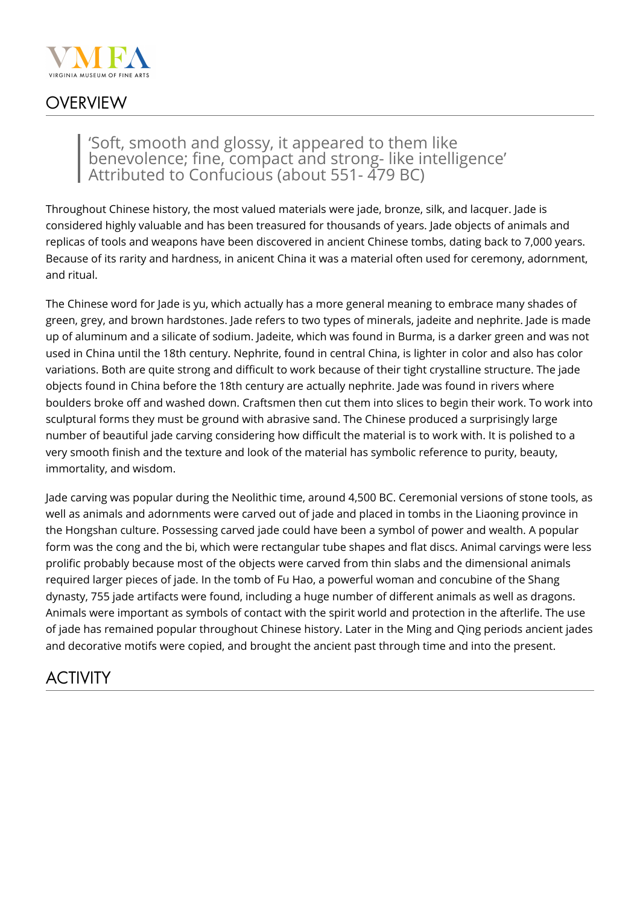

### **OVERVIEW**

#### 'Soft, smooth and glossy, it appeared to them like benevolence; fine, compact and strong- like intelligence' Attributed to Confucious (about 551- 479 BC)

Throughout Chinese history, the most valued materials were jade, bronze, silk, and lacquer. Jade is considered highly valuable and has been treasured for thousands of years. Jade objects of animals and replicas of tools and weapons have been discovered in ancient Chinese tombs, dating back to 7,000 years. Because of its rarity and hardness, in anicent China it was a material often used for ceremony, adornment, and ritual.

The Chinese word for Jade is yu, which actually has a more general meaning to embrace many shades of green, grey, and brown hardstones. Jade refers to two types of minerals, jadeite and nephrite. Jade is made up of aluminum and a silicate of sodium. Jadeite, which was found in Burma, is a darker green and was not used in China until the 18th century. Nephrite, found in central China, is lighter in color and also has color variations. Both are quite strong and difficult to work because of their tight crystalline structure. The jade objects found in China before the 18th century are actually nephrite. Jade was found in rivers where boulders broke off and washed down. Craftsmen then cut them into slices to begin their work. To work into sculptural forms they must be ground with abrasive sand. The Chinese produced a surprisingly large number of beautiful jade carving considering how difficult the material is to work with. It is polished to a very smooth finish and the texture and look of the material has symbolic reference to purity, beauty, immortality, and wisdom.

Jade carving was popular during the Neolithic time, around 4,500 BC. Ceremonial versions of stone tools, as well as animals and adornments were carved out of jade and placed in tombs in the Liaoning province in the Hongshan culture. Possessing carved jade could have been a symbol of power and wealth. A popular form was the cong and the bi, which were rectangular tube shapes and flat discs. Animal carvings were less prolific probably because most of the objects were carved from thin slabs and the dimensional animals required larger pieces of jade. In the tomb of Fu Hao, a powerful woman and concubine of the Shang dynasty, 755 jade artifacts were found, including a huge number of different animals as well as dragons. Animals were important as symbols of contact with the spirit world and protection in the afterlife. The use of jade has remained popular throughout Chinese history. Later in the Ming and Qing periods ancient jades and decorative motifs were copied, and brought the ancient past through time and into the present.

## ACTIVITY